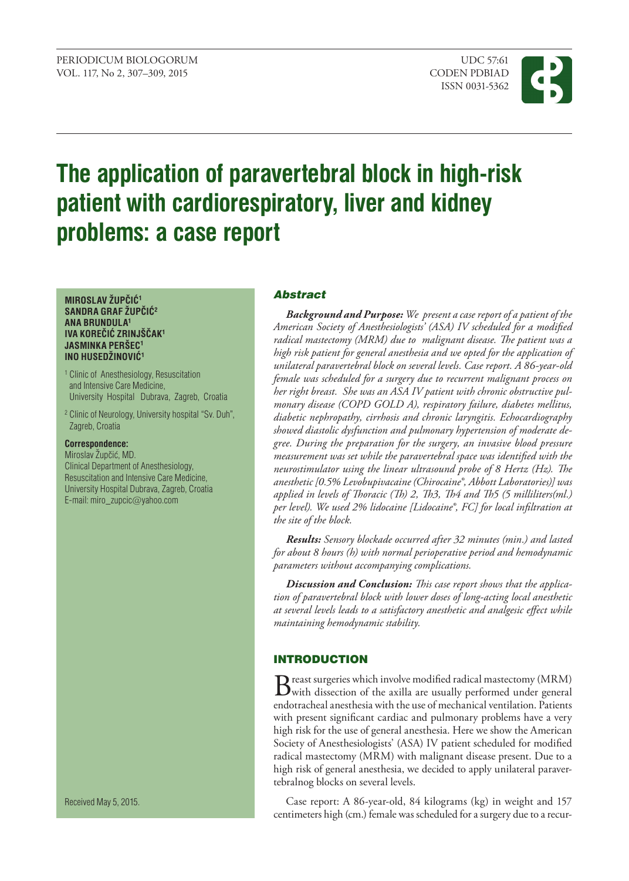

# **The application of paravertebral block in high-risk patient with cardiorespiratory, liver and kidney problems: a case report**

#### **MIROSLAV ŽUPČIĆ<sup>1</sup> SANDRA GRAF ŽUPČIĆ<sup>2</sup> ANA BRUNDULA<sup>1</sup> IVA KOREČIĆ ZRINJŠČAK<sup>1</sup> JASMINKA PERŠEC<sup>1</sup> INO HUSEDŽINOVIĆ<sup>1</sup>**

- <sup>1</sup> Clinic of Anesthesiology, Resuscitation and Intensive Care Medicine, University Hospital Dubrava, Zagreb, Croatia
- <sup>2</sup> Clinic of Neurology, University hospital "Sv. Duh", Zagreb, Croatia

#### **Correspondence:**

Miroslav Župčić, MD. Clinical Department of Anesthesiology, Resuscitation and Intensive Care Medicine, University Hospital Dubrava, Zagreb, Croatia E-mail: [miro\\_zupcic](mailto:miro_zupcic@yahoo.com)@yahoo.com

Abstract

*Background and Purpose: We present a case report of a patient of the American Society of Anesthesiologists' (ASA) IV scheduled for a modified radical mastectomy (MRM) due to malignant disease. The patient was a high risk patient for general anesthesia and we opted for the application of unilateral paravertebral block on several levels. Case report. A 86-year-old female was scheduled for a surgery due to recurrent malignant process on her right breast. She was an ASA IV patient with chronic obstructive pulmonary disease (COPD GOLD A), respiratory failure, diabetes mellitus, diabetic nephropathy, cirrhosis and chronic laryngitis. Echocardiography showed diastolic dysfunction and pulmonary hypertension of moderate degree. During the preparation for the surgery, an invasive blood pressure measurement was set while the paravertebral space was identified with the neurostimulator using the linear ultrasound probe of 8 Hertz (Hz). The anesthetic [0.5% Levobupivacaine (Chirocaine®, Abbott Laboratories)] was applied in levels of Thoracic (Th) 2, Th3, Th4 and Th5 (5 milliliters(ml.) per level). We used 2% lidocaine [Lidocaine®, FC] for local infiltration at the site of the block.* 

*Results: Sensory blockade occurred after 32 minutes (min.) and lasted for about 8 hours (h) with normal perioperative period and hemodynamic parameters without accompanying complications.* 

*Discussion and Conclusion: This case report shows that the application of paravertebral block with lower doses of long-acting local anesthetic at several levels leads to a satisfactory anesthetic and analgesic effect while maintaining hemodynamic stability.*

# **INTRODUCTION**

Breast surgeries which involve modified radical mastectomy (MRM)<br>with dissection of the axilla are usually performed under general endotracheal anesthesia with the use of mechanical ventilation. Patients with present significant cardiac and pulmonary problems have a very high risk for the use of general anesthesia. Here we show the American Society of Anesthesiologists' (ASA) IV patient scheduled for modified radical mastectomy (MRM) with malignant disease present. Due to a high risk of general anesthesia, we decided to apply unilateral paravertebralnog blocks on several levels.

Case report: A 86-year-old, 84 kilograms (kg) in weight and 157 centimeters high (cm.) female was scheduled for a surgery due to a recur-

Received May 5, 2015.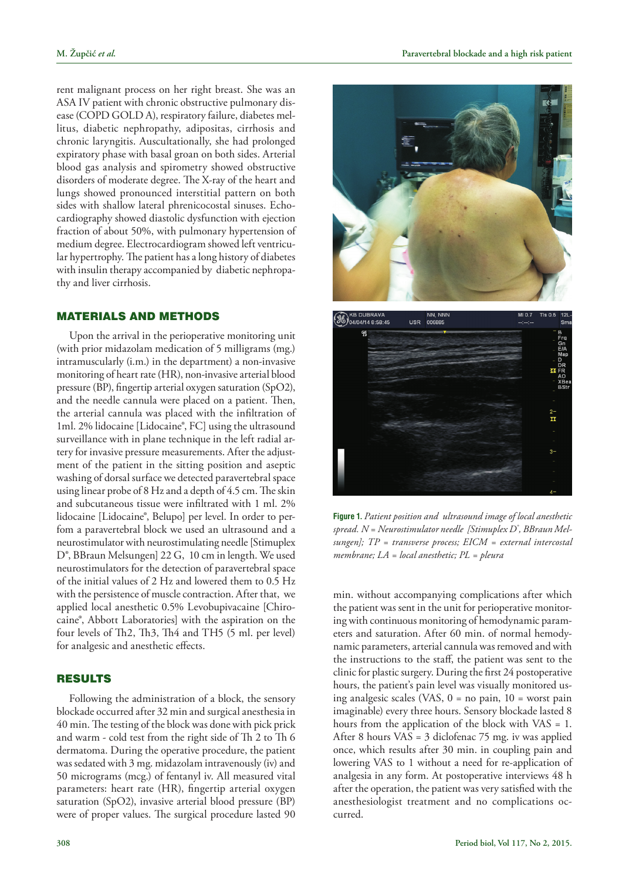rent malignant process on her right breast. She was an ASA IV patient with chronic obstructive pulmonary disease (COPD GOLD A), respiratory failure, diabetes mellitus, diabetic nephropathy, adipositas, cirrhosis and chronic laryngitis. Auscultationally, she had prolonged expiratory phase with basal groan on both sides. Arterial blood gas analysis and spirometry showed obstructive disorders of moderate degree. The X-ray of the heart and lungs showed pronounced interstitial pattern on both sides with shallow lateral phrenicocostal sinuses. Echocardiography showed diastolic dysfunction with ejection fraction of about 50%, with pulmonary hypertension of medium degree. Electrocardiogram showed left ventricular hypertrophy. The patient has a long history of diabetes with insulin therapy accompanied by diabetic nephropathy and liver cirrhosis.

### Materials and Methods

Upon the arrival in the perioperative monitoring unit (with prior midazolam medication of 5 milligrams (mg.) intramuscularly (i.m.) in the department) a non-invasive monitoring of heart rate (HR), non-invasive arterial blood pressure (BP), fingertip arterial oxygen saturation (SpO2), and the needle cannula were placed on a patient. Then, the arterial cannula was placed with the infiltration of 1ml. 2% lidocaine [Lidocaine®, FC] using the ultrasound surveillance with in plane technique in the left radial artery for invasive pressure measurements. After the adjustment of the patient in the sitting position and aseptic washing of dorsal surface we detected paravertebral space using linear probe of 8 Hz and a depth of 4.5 cm. The skin and subcutaneous tissue were infiltrated with 1 ml. 2% lidocaine [Lidocaine®, Belupo] per level. In order to perfom a paravertebral block we used an ultrasound and a neurostimulator with neurostimulating needle [Stimuplex D®, BBraun Melsungen] 22 G, 10 cm in length. We used neurostimulators for the detection of paravertebral space of the initial values of 2 Hz and lowered them to 0.5 Hz with the persistence of muscle contraction. After that, we applied local anesthetic 0.5% Levobupivacaine [Chirocaine®, Abbott Laboratories] with the aspiration on the four levels of Th2, Th3, Th4 and TH5 (5 ml. per level) for analgesic and anesthetic effects.

## Results

Following the administration of a block, the sensory blockade occurred after 32 min and surgical anesthesia in 40 min. The testing of the block was done with pick prick and warm - cold test from the right side of Th 2 to Th 6 dermatoma. During the operative procedure, the patient was sedated with 3 mg. midazolam intravenously (iv) and 50 micrograms (mcg.) of fentanyl iv. All measured vital parameters: heart rate (HR), fingertip arterial oxygen saturation (SpO2), invasive arterial blood pressure (BP) were of proper values. The surgical procedure lasted 90





**Figure 1.** *Patient position and ultrasound image of local anesthetic spread. N = Neurostimulator needle [Stimuplex D® , BBraun Melsungen]; TP = transverse process; EICM = external intercostal membrane; LA = local anesthetic; PL = pleura*

min. without accompanying complications after which the patient was sent in the unit for perioperative monitoring with continuous monitoring of hemodynamic parameters and saturation. After 60 min. of normal hemodynamic parameters, arterial cannula was removed and with the instructions to the staff, the patient was sent to the clinic for plastic surgery. During the first 24 postoperative hours, the patient's pain level was visually monitored using analgesic scales (VAS, 0 = no pain, 10 = worst pain imaginable) every three hours. Sensory blockade lasted 8 hours from the application of the block with VAS = 1. After 8 hours VAS = 3 diclofenac 75 mg. iv was applied once, which results after 30 min. in coupling pain and lowering VAS to 1 without a need for re-application of analgesia in any form. At postoperative interviews 48 h after the operation, the patient was very satisfied with the anesthesiologist treatment and no complications occurred.